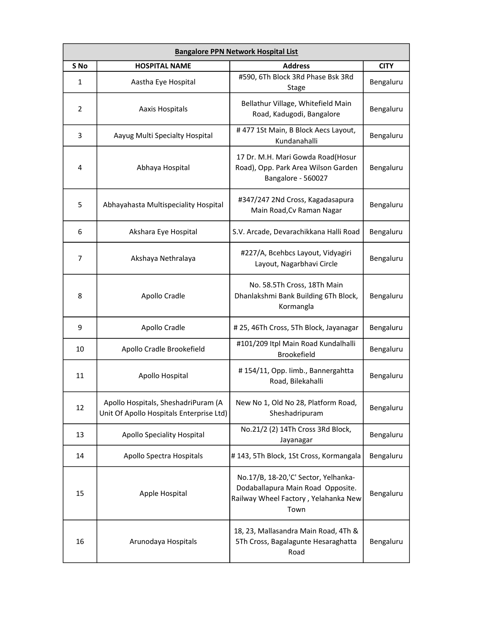| <b>Bangalore PPN Network Hospital List</b> |                                                                                 |                                                                                                                           |             |
|--------------------------------------------|---------------------------------------------------------------------------------|---------------------------------------------------------------------------------------------------------------------------|-------------|
| S No                                       | <b>HOSPITAL NAME</b>                                                            | <b>Address</b>                                                                                                            | <b>CITY</b> |
| 1                                          | Aastha Eye Hospital                                                             | #590, 6Th Block 3Rd Phase Bsk 3Rd<br>Stage                                                                                | Bengaluru   |
| 2                                          | Aaxis Hospitals                                                                 | Bellathur Village, Whitefield Main<br>Road, Kadugodi, Bangalore                                                           | Bengaluru   |
| 3                                          | Aayug Multi Specialty Hospital                                                  | #477 1St Main, B Block Aecs Layout,<br>Kundanahalli                                                                       | Bengaluru   |
| 4                                          | Abhaya Hospital                                                                 | 17 Dr. M.H. Mari Gowda Road(Hosur<br>Road), Opp. Park Area Wilson Garden<br>Bangalore - 560027                            | Bengaluru   |
| 5                                          | Abhayahasta Multispeciality Hospital                                            | #347/247 2Nd Cross, Kagadasapura<br>Main Road, Cv Raman Nagar                                                             | Bengaluru   |
| 6                                          | Akshara Eye Hospital                                                            | S.V. Arcade, Devarachikkana Halli Road                                                                                    | Bengaluru   |
| 7                                          | Akshaya Nethralaya                                                              | #227/A, Bcehbcs Layout, Vidyagiri<br>Layout, Nagarbhavi Circle                                                            | Bengaluru   |
| 8                                          | Apollo Cradle                                                                   | No. 58.5Th Cross, 18Th Main<br>Dhanlakshmi Bank Building 6Th Block,<br>Kormangla                                          | Bengaluru   |
| 9                                          | Apollo Cradle                                                                   | #25,46Th Cross, 5Th Block, Jayanagar                                                                                      | Bengaluru   |
| 10                                         | Apollo Cradle Brookefield                                                       | #101/209 Itpl Main Road Kundalhalli<br>Brookefield                                                                        | Bengaluru   |
| 11                                         | Apollo Hospital                                                                 | #154/11, Opp. limb., Bannergahtta<br>Road, Bilekahalli                                                                    | Bengaluru   |
| 12                                         | Apollo Hospitals, SheshadriPuram (A<br>Unit Of Apollo Hospitals Enterprise Ltd) | New No 1, Old No 28, Platform Road,<br>Sheshadripuram                                                                     | Bengaluru   |
| 13                                         | Apollo Speciality Hospital                                                      | No.21/2 (2) 14Th Cross 3Rd Block,<br>Jayanagar                                                                            | Bengaluru   |
| 14                                         | Apollo Spectra Hospitals                                                        | #143, 5Th Block, 1St Cross, Kormangala                                                                                    | Bengaluru   |
| 15                                         | Apple Hospital                                                                  | No.17/B, 18-20,'C' Sector, Yelhanka-<br>Dodaballapura Main Road Opposite.<br>Railway Wheel Factory, Yelahanka New<br>Town | Bengaluru   |
| 16                                         | Arunodaya Hospitals                                                             | 18, 23, Mallasandra Main Road, 4Th &<br>5Th Cross, Bagalagunte Hesaraghatta<br>Road                                       | Bengaluru   |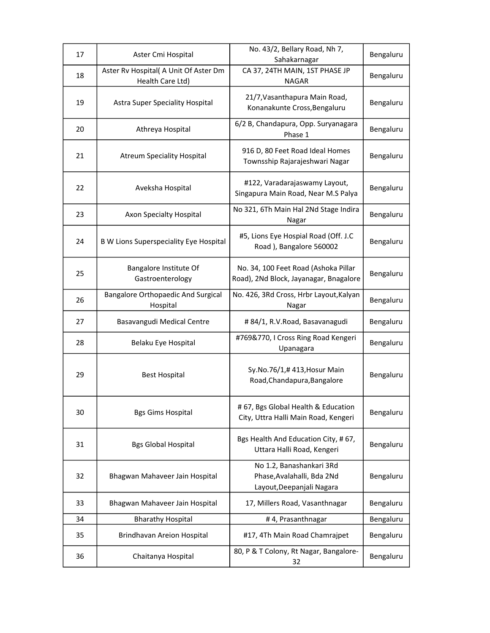| 17 | Aster Cmi Hospital                                        | No. 43/2, Bellary Road, Nh 7,<br>Sahakarnagar                                       | Bengaluru |
|----|-----------------------------------------------------------|-------------------------------------------------------------------------------------|-----------|
| 18 | Aster Rv Hospital( A Unit Of Aster Dm<br>Health Care Ltd) | CA 37, 24TH MAIN, 1ST PHASE JP<br><b>NAGAR</b>                                      | Bengaluru |
| 19 | <b>Astra Super Speciality Hospital</b>                    | 21/7, Vasanthapura Main Road,<br>Konanakunte Cross, Bengaluru                       | Bengaluru |
| 20 | Athreya Hospital                                          | 6/2 B, Chandapura, Opp. Suryanagara<br>Phase 1                                      | Bengaluru |
| 21 | <b>Atreum Speciality Hospital</b>                         | 916 D, 80 Feet Road Ideal Homes<br>Townsship Rajarajeshwari Nagar                   | Bengaluru |
| 22 | Aveksha Hospital                                          | #122, Varadarajaswamy Layout,<br>Singapura Main Road, Near M.S Palya                | Bengaluru |
| 23 | Axon Specialty Hospital                                   | No 321, 6Th Main Hal 2Nd Stage Indira<br>Nagar                                      | Bengaluru |
| 24 | <b>B W Lions Superspeciality Eye Hospital</b>             | #5, Lions Eye Hospial Road (Off. J.C<br>Road), Bangalore 560002                     | Bengaluru |
| 25 | Bangalore Institute Of<br>Gastroenterology                | No. 34, 100 Feet Road (Ashoka Pillar<br>Road), 2Nd Block, Jayanagar, Bnagalore      | Bengaluru |
| 26 | <b>Bangalore Orthopaedic And Surgical</b><br>Hospital     | No. 426, 3Rd Cross, Hrbr Layout, Kalyan<br>Nagar                                    | Bengaluru |
| 27 | Basavangudi Medical Centre                                | # 84/1, R.V.Road, Basavanagudi                                                      | Bengaluru |
| 28 | Belaku Eye Hospital                                       | #769&770, I Cross Ring Road Kengeri<br>Upanagara                                    | Bengaluru |
| 29 | <b>Best Hospital</b>                                      | Sy.No.76/1,#413,Hosur Main<br>Road, Chandapura, Bangalore                           | Bengaluru |
| 30 | <b>Bgs Gims Hospital</b>                                  | # 67, Bgs Global Health & Education<br>City, Uttra Halli Main Road, Kengeri         | Bengaluru |
| 31 | <b>Bgs Global Hospital</b>                                | Bgs Health And Education City, #67,<br>Uttara Halli Road, Kengeri                   | Bengaluru |
| 32 | Bhagwan Mahaveer Jain Hospital                            | No 1.2, Banashankari 3Rd<br>Phase, Avalahalli, Bda 2Nd<br>Layout, Deepanjali Nagara | Bengaluru |
| 33 | Bhagwan Mahaveer Jain Hospital                            | 17, Millers Road, Vasanthnagar                                                      | Bengaluru |
| 34 | <b>Bharathy Hospital</b>                                  | #4, Prasanthnagar                                                                   | Bengaluru |
| 35 | Brindhavan Areion Hospital                                | #17, 4Th Main Road Chamrajpet                                                       | Bengaluru |
| 36 | Chaitanya Hospital                                        | 80, P & T Colony, Rt Nagar, Bangalore-<br>32                                        | Bengaluru |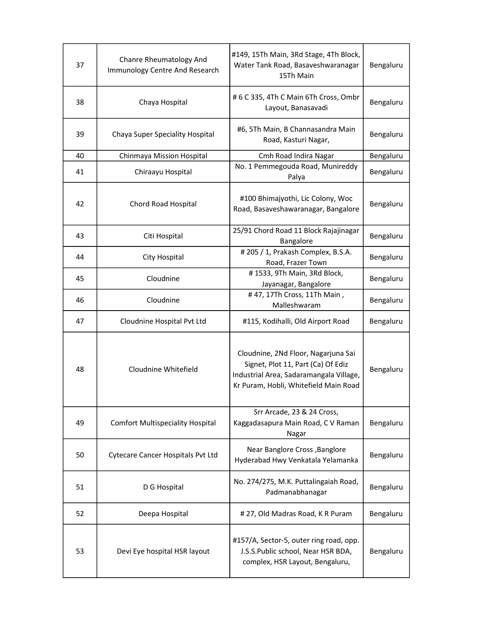| 37 | Chanre Rheumatology And<br>Immunology Centre And Research | #149, 15Th Main, 3Rd Stage, 4Th Block,<br>Water Tank Road, Basaveshwaranagar<br>15Th Main                                                                     | Bengaluru |
|----|-----------------------------------------------------------|---------------------------------------------------------------------------------------------------------------------------------------------------------------|-----------|
| 38 | Chaya Hospital                                            | # 6 C 335, 4Th C Main 6Th Cross, Ombr<br>Layout, Banasavadi                                                                                                   | Bengaluru |
| 39 | Chaya Super Speciality Hospital                           | #6, 5Th Main, B Channasandra Main<br>Road, Kasturi Nagar,                                                                                                     | Bengaluru |
| 40 | Chinmaya Mission Hospital                                 | Cmh Road Indira Nagar                                                                                                                                         | Bengaluru |
| 41 | Chiraayu Hospital                                         | No. 1 Pemmegouda Road, Munireddy<br>Palya                                                                                                                     | Bengaluru |
| 42 | <b>Chord Road Hospital</b>                                | #100 Bhimajyothi, Lic Colony, Woc<br>Road, Basaveshawaranagar, Bangalore                                                                                      | Bengaluru |
| 43 | Citi Hospital                                             | 25/91 Chord Road 11 Block Rajajinagar<br>Bangalore                                                                                                            | Bengaluru |
| 44 | City Hospital                                             | #205 / 1, Prakash Complex, B.S.A.<br>Road, Frazer Town                                                                                                        | Bengaluru |
| 45 | Cloudnine                                                 | #1533, 9Th Main, 3Rd Block,<br>Jayanagar, Bangalore                                                                                                           | Bengaluru |
| 46 | Cloudnine                                                 | #47, 17Th Cross, 11Th Main,<br>Malleshwaram                                                                                                                   | Bengaluru |
| 47 | Cloudnine Hospital Pvt Ltd                                | #115, Kodihalli, Old Airport Road                                                                                                                             | Bengaluru |
| 48 | Cloudnine Whitefield                                      | Cloudnine, 2Nd Floor, Nagarjuna Sai<br>Signet, Plot 11, Part (Ca) Of Ediz<br>Industrial Area, Sadaramangala Village,<br>Kr Puram, Hobli, Whitefield Main Road | Bengaluru |
| 49 | <b>Comfort Multispeciality Hospital</b>                   | Srr Arcade, 23 & 24 Cross,<br>Kaggadasapura Main Road, C V Raman<br>Nagar                                                                                     | Bengaluru |
| 50 | <b>Cytecare Cancer Hospitals Pvt Ltd</b>                  | Near Banglore Cross, Banglore<br>Hyderabad Hwy Venkatala Yelamanka                                                                                            | Bengaluru |
| 51 | D G Hospital                                              | No. 274/275, M.K. Puttalingaiah Road,<br>Padmanabhanagar                                                                                                      | Bengaluru |
| 52 | Deepa Hospital                                            | # 27, Old Madras Road, K R Puram                                                                                                                              | Bengaluru |
| 53 | Devi Eye hospital HSR layout                              | #157/A, Sector-5, outer ring road, opp.<br>J.S.S.Public school, Near HSR BDA,<br>complex, HSR Layout, Bengaluru,                                              | Bengaluru |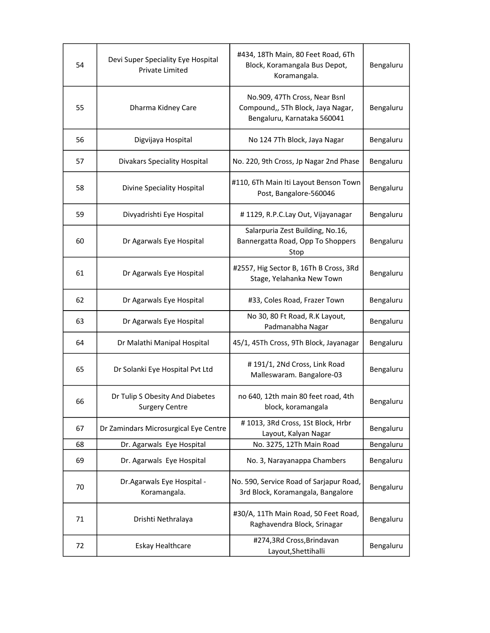| 54 | Devi Super Speciality Eye Hospital<br>Private Limited    | #434, 18Th Main, 80 Feet Road, 6Th<br>Block, Koramangala Bus Depot,<br>Koramangala.               | Bengaluru |
|----|----------------------------------------------------------|---------------------------------------------------------------------------------------------------|-----------|
| 55 | Dharma Kidney Care                                       | No.909, 47Th Cross, Near Bsnl<br>Compound,, 5Th Block, Jaya Nagar,<br>Bengaluru, Karnataka 560041 | Bengaluru |
| 56 | Digvijaya Hospital                                       | No 124 7Th Block, Jaya Nagar                                                                      | Bengaluru |
| 57 | <b>Divakars Speciality Hospital</b>                      | No. 220, 9th Cross, Jp Nagar 2nd Phase                                                            | Bengaluru |
| 58 | Divine Speciality Hospital                               | #110, 6Th Main Iti Layout Benson Town<br>Post, Bangalore-560046                                   | Bengaluru |
| 59 | Divyadrishti Eye Hospital                                | #1129, R.P.C.Lay Out, Vijayanagar                                                                 | Bengaluru |
| 60 | Dr Agarwals Eye Hospital                                 | Salarpuria Zest Building, No.16,<br>Bannergatta Road, Opp To Shoppers<br>Stop                     | Bengaluru |
| 61 | Dr Agarwals Eye Hospital                                 | #2557, Hig Sector B, 16Th B Cross, 3Rd<br>Stage, Yelahanka New Town                               | Bengaluru |
| 62 | Dr Agarwals Eye Hospital                                 | #33, Coles Road, Frazer Town                                                                      | Bengaluru |
| 63 | Dr Agarwals Eye Hospital                                 | No 30, 80 Ft Road, R.K Layout,<br>Padmanabha Nagar                                                | Bengaluru |
| 64 | Dr Malathi Manipal Hospital                              | 45/1, 45Th Cross, 9Th Block, Jayanagar                                                            | Bengaluru |
| 65 | Dr Solanki Eye Hospital Pvt Ltd                          | #191/1, 2Nd Cross, Link Road<br>Malleswaram. Bangalore-03                                         | Bengaluru |
| 66 | Dr Tulip S Obesity And Diabetes<br><b>Surgery Centre</b> | no 640, 12th main 80 feet road, 4th<br>block, koramangala                                         | Bengaluru |
| 67 | Dr Zamindars Microsurgical Eye Centre                    | #1013, 3Rd Cross, 1St Block, Hrbr<br>Layout, Kalyan Nagar                                         | Bengaluru |
| 68 | Dr. Agarwals Eye Hospital                                | No. 3275, 12Th Main Road                                                                          | Bengaluru |
| 69 | Dr. Agarwals Eye Hospital                                | No. 3, Narayanappa Chambers                                                                       | Bengaluru |
| 70 | Dr. Agarwals Eye Hospital -<br>Koramangala.              | No. 590, Service Road of Sarjapur Road,<br>3rd Block, Koramangala, Bangalore                      | Bengaluru |
| 71 | Drishti Nethralaya                                       | #30/A, 11Th Main Road, 50 Feet Road,<br>Raghavendra Block, Srinagar                               | Bengaluru |
| 72 | Eskay Healthcare                                         | #274,3Rd Cross, Brindavan<br>Layout, Shettihalli                                                  | Bengaluru |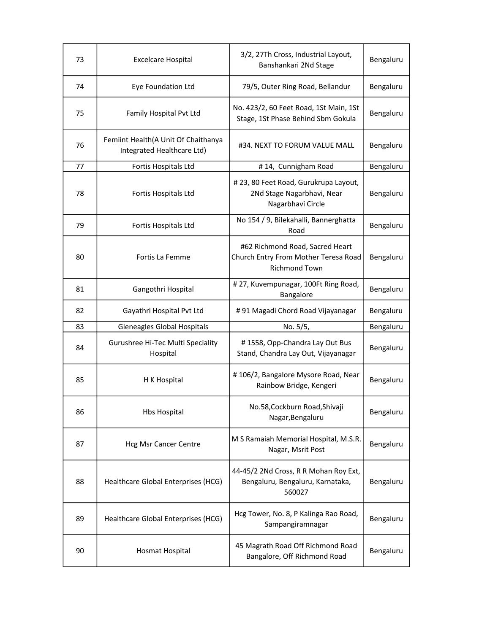| 73 | <b>Excelcare Hospital</b>                                         | 3/2, 27Th Cross, Industrial Layout,<br>Banshankari 2Nd Stage                                    | Bengaluru |
|----|-------------------------------------------------------------------|-------------------------------------------------------------------------------------------------|-----------|
| 74 | Eye Foundation Ltd                                                | 79/5, Outer Ring Road, Bellandur                                                                | Bengaluru |
| 75 | Family Hospital Pvt Ltd                                           | No. 423/2, 60 Feet Road, 1St Main, 1St<br>Stage, 1St Phase Behind Sbm Gokula                    | Bengaluru |
| 76 | Femiint Health(A Unit Of Chaithanya<br>Integrated Healthcare Ltd) | #34. NEXT TO FORUM VALUE MALL                                                                   | Bengaluru |
| 77 | Fortis Hospitals Ltd                                              | #14, Cunnigham Road                                                                             | Bengaluru |
| 78 | Fortis Hospitals Ltd                                              | # 23, 80 Feet Road, Gurukrupa Layout,<br>2Nd Stage Nagarbhavi, Near<br>Nagarbhavi Circle        | Bengaluru |
| 79 | Fortis Hospitals Ltd                                              | No 154 / 9, Bilekahalli, Bannerghatta<br>Road                                                   | Bengaluru |
| 80 | Fortis La Femme                                                   | #62 Richmond Road, Sacred Heart<br>Church Entry From Mother Teresa Road<br><b>Richmond Town</b> | Bengaluru |
| 81 | Gangothri Hospital                                                | #27, Kuvempunagar, 100Ft Ring Road,<br>Bangalore                                                | Bengaluru |
| 82 | Gayathri Hospital Pvt Ltd                                         | #91 Magadi Chord Road Vijayanagar                                                               | Bengaluru |
| 83 | Gleneagles Global Hospitals                                       | No. 5/5,                                                                                        | Bengaluru |
| 84 | Gurushree Hi-Tec Multi Speciality<br>Hospital                     | #1558, Opp-Chandra Lay Out Bus<br>Stand, Chandra Lay Out, Vijayanagar                           | Bengaluru |
| 85 | H K Hospital                                                      | #106/2, Bangalore Mysore Road, Near<br>Rainbow Bridge, Kengeri                                  | Bengaluru |
| 86 | <b>Hbs Hospital</b>                                               | No.58, Cockburn Road, Shivaji<br>Nagar, Bengaluru                                               | Bengaluru |
| 87 | <b>Hcg Msr Cancer Centre</b>                                      | M S Ramaiah Memorial Hospital, M.S.R.<br>Nagar, Msrit Post                                      | Bengaluru |
| 88 | Healthcare Global Enterprises (HCG)                               | 44-45/2 2Nd Cross, R R Mohan Roy Ext,<br>Bengaluru, Bengaluru, Karnataka,<br>560027             | Bengaluru |
| 89 | Healthcare Global Enterprises (HCG)                               | Hcg Tower, No. 8, P Kalinga Rao Road,<br>Sampangiramnagar                                       | Bengaluru |
| 90 | Hosmat Hospital                                                   | 45 Magrath Road Off Richmond Road<br>Bangalore, Off Richmond Road                               | Bengaluru |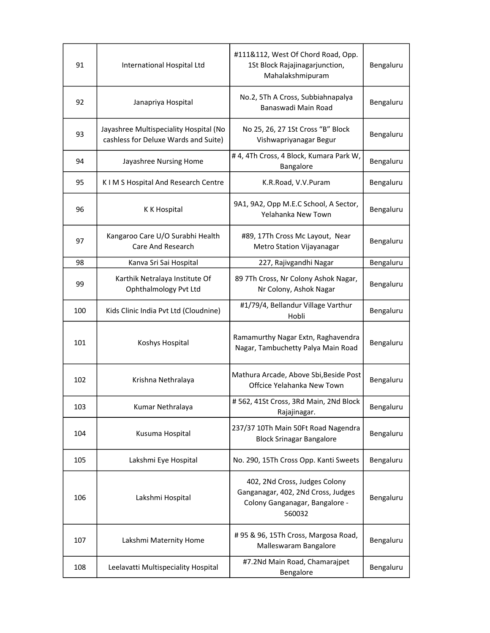| 91  | International Hospital Ltd                                                     | #111&112, West Of Chord Road, Opp.<br>1St Block Rajajinagarjunction,<br>Mahalakshmipuram                        | Bengaluru |
|-----|--------------------------------------------------------------------------------|-----------------------------------------------------------------------------------------------------------------|-----------|
| 92  | Janapriya Hospital                                                             | No.2, 5Th A Cross, Subbiahnapalya<br>Banaswadi Main Road                                                        | Bengaluru |
| 93  | Jayashree Multispeciality Hospital (No<br>cashless for Deluxe Wards and Suite) | No 25, 26, 27 1St Cross "B" Block<br>Vishwapriyanagar Begur                                                     | Bengaluru |
| 94  | Jayashree Nursing Home                                                         | #4, 4Th Cross, 4 Block, Kumara Park W,<br>Bangalore                                                             | Bengaluru |
| 95  | K I M S Hospital And Research Centre                                           | K.R.Road, V.V.Puram                                                                                             | Bengaluru |
| 96  | K K Hospital                                                                   | 9A1, 9A2, Opp M.E.C School, A Sector,<br>Yelahanka New Town                                                     | Bengaluru |
| 97  | Kangaroo Care U/O Surabhi Health<br>Care And Research                          | #89, 17Th Cross Mc Layout, Near<br>Metro Station Vijayanagar                                                    | Bengaluru |
| 98  | Kanva Sri Sai Hospital                                                         | 227, Rajivgandhi Nagar                                                                                          | Bengaluru |
| 99  | Karthik Netralaya Institute Of<br>Ophthalmology Pvt Ltd                        | 89 7Th Cross, Nr Colony Ashok Nagar,<br>Nr Colony, Ashok Nagar                                                  | Bengaluru |
| 100 | Kids Clinic India Pvt Ltd (Cloudnine)                                          | #1/79/4, Bellandur Village Varthur<br>Hobli                                                                     | Bengaluru |
| 101 | Koshys Hospital                                                                | Ramamurthy Nagar Extn, Raghavendra<br>Nagar, Tambuchetty Palya Main Road                                        | Bengaluru |
| 102 | Krishna Nethralaya                                                             | Mathura Arcade, Above Sbi, Beside Post<br>Offcice Yelahanka New Town                                            | Bengaluru |
| 103 | Kumar Nethralaya                                                               | #562, 41St Cross, 3Rd Main, 2Nd Block<br>Rajajinagar.                                                           | Bengaluru |
| 104 | Kusuma Hospital                                                                | 237/37 10Th Main 50Ft Road Nagendra<br><b>Block Srinagar Bangalore</b>                                          | Bengaluru |
| 105 | Lakshmi Eye Hospital                                                           | No. 290, 15Th Cross Opp. Kanti Sweets                                                                           | Bengaluru |
| 106 | Lakshmi Hospital                                                               | 402, 2Nd Cross, Judges Colony<br>Ganganagar, 402, 2Nd Cross, Judges<br>Colony Ganganagar, Bangalore -<br>560032 | Bengaluru |
| 107 | Lakshmi Maternity Home                                                         | #95 & 96, 15Th Cross, Margosa Road,<br>Malleswaram Bangalore                                                    | Bengaluru |
| 108 | Leelavatti Multispeciality Hospital                                            | #7.2Nd Main Road, Chamarajpet<br>Bengalore                                                                      | Bengaluru |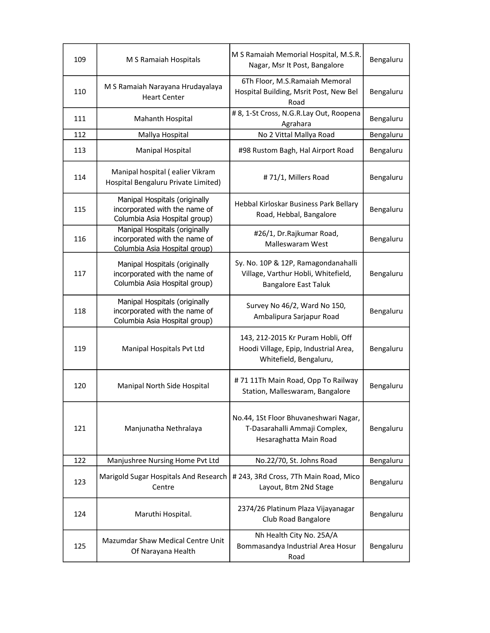| 109 | M S Ramaiah Hospitals                                                                           | M S Ramaiah Memorial Hospital, M.S.R.<br>Nagar, Msr It Post, Bangalore                                    | Bengaluru |
|-----|-------------------------------------------------------------------------------------------------|-----------------------------------------------------------------------------------------------------------|-----------|
| 110 | M S Ramaiah Narayana Hrudayalaya<br><b>Heart Center</b>                                         | 6Th Floor, M.S.Ramaiah Memoral<br>Hospital Building, Msrit Post, New Bel<br>Road                          | Bengaluru |
| 111 | Mahanth Hospital                                                                                | # 8, 1-St Cross, N.G.R.Lay Out, Roopena<br>Agrahara                                                       | Bengaluru |
| 112 | Mallya Hospital                                                                                 | No 2 Vittal Mallya Road                                                                                   | Bengaluru |
| 113 | <b>Manipal Hospital</b>                                                                         | #98 Rustom Bagh, Hal Airport Road                                                                         | Bengaluru |
| 114 | Manipal hospital (ealier Vikram<br>Hospital Bengaluru Private Limited)                          | #71/1, Millers Road                                                                                       | Bengaluru |
| 115 | Manipal Hospitals (originally<br>incorporated with the name of<br>Columbia Asia Hospital group) | Hebbal Kirloskar Business Park Bellary<br>Road, Hebbal, Bangalore                                         | Bengaluru |
| 116 | Manipal Hospitals (originally<br>incorporated with the name of<br>Columbia Asia Hospital group) | #26/1, Dr.Rajkumar Road,<br>Malleswaram West                                                              | Bengaluru |
| 117 | Manipal Hospitals (originally<br>incorporated with the name of<br>Columbia Asia Hospital group) | Sy. No. 10P & 12P, Ramagondanahalli<br>Village, Varthur Hobli, Whitefield,<br><b>Bangalore East Taluk</b> | Bengaluru |
| 118 | Manipal Hospitals (originally<br>incorporated with the name of<br>Columbia Asia Hospital group) | Survey No 46/2, Ward No 150,<br>Ambalipura Sarjapur Road                                                  | Bengaluru |
| 119 | Manipal Hospitals Pvt Ltd                                                                       | 143, 212-2015 Kr Puram Hobli, Off<br>Hoodi Village, Epip, Industrial Area,<br>Whitefield, Bengaluru,      | Bengaluru |
| 120 | Manipal North Side Hospital                                                                     | #71 11Th Main Road, Opp To Railway<br>Station, Malleswaram, Bangalore                                     | Bengaluru |
| 121 | Manjunatha Nethralaya                                                                           | No.44, 1St Floor Bhuvaneshwari Nagar,<br>T-Dasarahalli Ammaji Complex,<br>Hesaraghatta Main Road          | Bengaluru |
| 122 | Manjushree Nursing Home Pvt Ltd                                                                 | No.22/70, St. Johns Road                                                                                  | Bengaluru |
| 123 | Marigold Sugar Hospitals And Research<br>Centre                                                 | # 243, 3Rd Cross, 7Th Main Road, Mico<br>Layout, Btm 2Nd Stage                                            | Bengaluru |
| 124 | Maruthi Hospital.                                                                               | 2374/26 Platinum Plaza Vijayanagar<br>Club Road Bangalore                                                 | Bengaluru |
| 125 | Mazumdar Shaw Medical Centre Unit<br>Of Narayana Health                                         | Nh Health City No. 25A/A<br>Bommasandya Industrial Area Hosur<br>Road                                     | Bengaluru |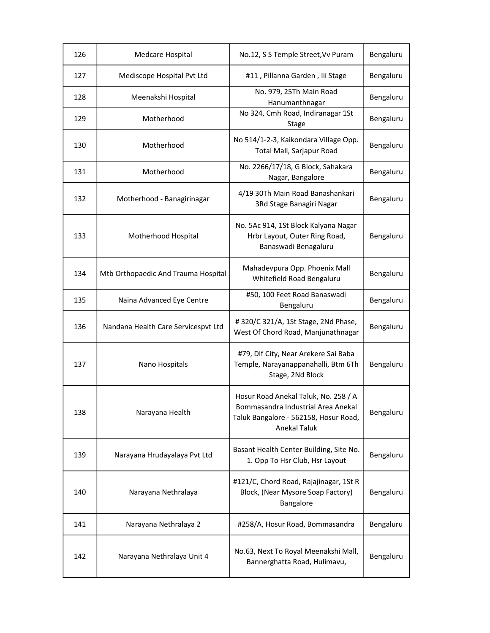| 126 | Medcare Hospital                    | No.12, S S Temple Street, Vv Puram                                                                                                         | Bengaluru |
|-----|-------------------------------------|--------------------------------------------------------------------------------------------------------------------------------------------|-----------|
| 127 | Mediscope Hospital Pvt Ltd          | #11, Pillanna Garden, Iii Stage                                                                                                            | Bengaluru |
| 128 | Meenakshi Hospital                  | No. 979, 25Th Main Road<br>Hanumanthnagar                                                                                                  | Bengaluru |
| 129 | Motherhood                          | No 324, Cmh Road, Indiranagar 1St<br>Stage                                                                                                 | Bengaluru |
| 130 | Motherhood                          | No 514/1-2-3, Kaikondara Village Opp.<br>Total Mall, Sarjapur Road                                                                         | Bengaluru |
| 131 | Motherhood                          | No. 2266/17/18, G Block, Sahakara<br>Nagar, Bangalore                                                                                      | Bengaluru |
| 132 | Motherhood - Banagirinagar          | 4/19 30Th Main Road Banashankari<br>3Rd Stage Banagiri Nagar                                                                               | Bengaluru |
| 133 | Motherhood Hospital                 | No. 5Ac 914, 1St Block Kalyana Nagar<br>Hrbr Layout, Outer Ring Road,<br>Banaswadi Benagaluru                                              | Bengaluru |
| 134 | Mtb Orthopaedic And Trauma Hospital | Mahadevpura Opp. Phoenix Mall<br>Whitefield Road Bengaluru                                                                                 | Bengaluru |
| 135 | Naina Advanced Eye Centre           | #50, 100 Feet Road Banaswadi<br>Bengaluru                                                                                                  | Bengaluru |
| 136 | Nandana Health Care Servicespvt Ltd | #320/C 321/A, 1St Stage, 2Nd Phase,<br>West Of Chord Road, Manjunathnagar                                                                  | Bengaluru |
| 137 | Nano Hospitals                      | #79, Dlf City, Near Arekere Sai Baba<br>Temple, Narayanappanahalli, Btm 6Th<br>Stage, 2Nd Block                                            | Bengaluru |
| 138 | Narayana Health                     | Hosur Road Anekal Taluk, No. 258 / A<br>Bommasandra Industrial Area Anekal<br>Taluk Bangalore - 562158, Hosur Road,<br><b>Anekal Taluk</b> | Bengaluru |
| 139 | Narayana Hrudayalaya Pvt Ltd        | Basant Health Center Building, Site No.<br>1. Opp To Hsr Club, Hsr Layout                                                                  | Bengaluru |
| 140 | Narayana Nethralaya                 | #121/C, Chord Road, Rajajinagar, 1St R<br>Block, (Near Mysore Soap Factory)<br>Bangalore                                                   | Bengaluru |
| 141 | Narayana Nethralaya 2               | #258/A, Hosur Road, Bommasandra                                                                                                            | Bengaluru |
| 142 | Narayana Nethralaya Unit 4          | No.63, Next To Royal Meenakshi Mall,<br>Bannerghatta Road, Hulimavu,                                                                       | Bengaluru |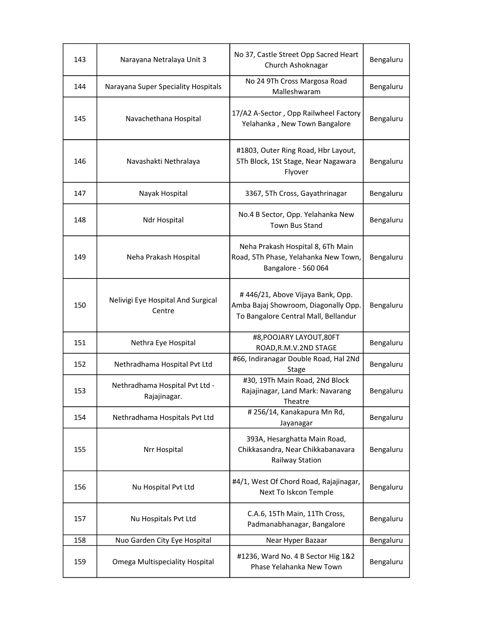| 143 | Narayana Netralaya Unit 3                      | No 37, Castle Street Opp Sacred Heart<br>Church Ashoknagar                                                       | Bengaluru |
|-----|------------------------------------------------|------------------------------------------------------------------------------------------------------------------|-----------|
| 144 | Narayana Super Speciality Hospitals            | No 24 9Th Cross Margosa Road<br>Malleshwaram                                                                     | Bengaluru |
| 145 | Navachethana Hospital                          | 17/A2 A-Sector, Opp Railwheel Factory<br>Yelahanka, New Town Bangalore                                           | Bengaluru |
| 146 | Navashakti Nethralaya                          | #1803, Outer Ring Road, Hbr Layout,<br>5Th Block, 1St Stage, Near Nagawara<br>Flyover                            | Bengaluru |
| 147 | Nayak Hospital                                 | 3367, 5Th Cross, Gayathrinagar                                                                                   | Bengaluru |
| 148 | Ndr Hospital                                   | No.4 B Sector, Opp. Yelahanka New<br><b>Town Bus Stand</b>                                                       | Bengaluru |
| 149 | Neha Prakash Hospital                          | Neha Prakash Hospital 8, 6Th Main<br>Road, 5Th Phase, Yelahanka New Town,<br>Bangalore - 560 064                 | Bengaluru |
| 150 | Nelivigi Eye Hospital And Surgical<br>Centre   | #446/21, Above Vijaya Bank, Opp.<br>Amba Bajaj Showroom, Diagonally Opp.<br>To Bangalore Central Mall, Bellandur | Bengaluru |
| 151 | Nethra Eye Hospital                            | #8, POOJARY LAYOUT, 80FT<br>ROAD, R.M.V.2ND STAGE                                                                | Bengaluru |
| 152 | Nethradhama Hospital Pvt Ltd                   | #66, Indiranagar Double Road, Hal 2Nd<br>Stage                                                                   | Bengaluru |
| 153 | Nethradhama Hospital Pvt Ltd -<br>Rajajinagar. | #30, 19Th Main Road, 2Nd Block<br>Rajajinagar, Land Mark: Navarang<br>Theatre                                    | Bengaluru |
| 154 | Nethradhama Hospitals Pvt Ltd                  | #256/14, Kanakapura Mn Rd,<br>Jayanagar                                                                          | Bengaluru |
| 155 | Nrr Hospital                                   | 393A, Hesarghatta Main Road,<br>Chikkasandra, Near Chikkabanavara<br>Railway Station                             | Bengaluru |
| 156 | Nu Hospital Pvt Ltd                            | #4/1, West Of Chord Road, Rajajinagar,<br>Next To Iskcon Temple                                                  | Bengaluru |
| 157 | Nu Hospitals Pvt Ltd                           | C.A.6, 15Th Main, 11Th Cross,<br>Padmanabhanagar, Bangalore                                                      | Bengaluru |
| 158 | Nuo Garden City Eye Hospital                   | Near Hyper Bazaar                                                                                                | Bengaluru |
| 159 | Omega Multispeciality Hospital                 | #1236, Ward No. 4 B Sector Hig 1&2<br>Phase Yelahanka New Town                                                   | Bengaluru |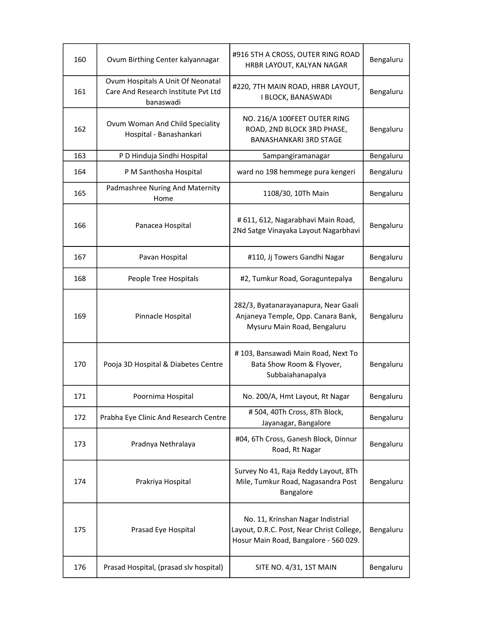| 160 | Ovum Birthing Center kalyannagar                                                      | #916 5TH A CROSS, OUTER RING ROAD<br>HRBR LAYOUT, KALYAN NAGAR                                                          | Bengaluru |
|-----|---------------------------------------------------------------------------------------|-------------------------------------------------------------------------------------------------------------------------|-----------|
| 161 | Ovum Hospitals A Unit Of Neonatal<br>Care And Research Institute Pvt Ltd<br>banaswadi | #220, 7TH MAIN ROAD, HRBR LAYOUT,<br>I BLOCK, BANASWADI                                                                 | Bengaluru |
| 162 | Ovum Woman And Child Speciality<br>Hospital - Banashankari                            | NO. 216/A 100FEET OUTER RING<br>ROAD, 2ND BLOCK 3RD PHASE,<br><b>BANASHANKARI 3RD STAGE</b>                             | Bengaluru |
| 163 | P D Hinduja Sindhi Hospital                                                           | Sampangiramanagar                                                                                                       | Bengaluru |
| 164 | P M Santhosha Hospital                                                                | ward no 198 hemmege pura kengeri                                                                                        | Bengaluru |
| 165 | Padmashree Nuring And Maternity<br>Home                                               | 1108/30, 10Th Main                                                                                                      | Bengaluru |
| 166 | Panacea Hospital                                                                      | # 611, 612, Nagarabhavi Main Road,<br>2Nd Satge Vinayaka Layout Nagarbhavi                                              | Bengaluru |
| 167 | Pavan Hospital                                                                        | #110, Jj Towers Gandhi Nagar                                                                                            | Bengaluru |
| 168 | People Tree Hospitals                                                                 | #2, Tumkur Road, Goraguntepalya                                                                                         | Bengaluru |
| 169 | Pinnacle Hospital                                                                     | 282/3, Byatanarayanapura, Near Gaali<br>Anjaneya Temple, Opp. Canara Bank,<br>Mysuru Main Road, Bengaluru               | Bengaluru |
| 170 | Pooja 3D Hospital & Diabetes Centre                                                   | #103, Bansawadi Main Road, Next To<br>Bata Show Room & Flyover,<br>Subbaiahanapalya                                     | Bengaluru |
| 171 | Poornima Hospital                                                                     | No. 200/A, Hmt Layout, Rt Nagar                                                                                         | Bengaluru |
| 172 | Prabha Eye Clinic And Research Centre                                                 | #504, 40Th Cross, 8Th Block,<br>Jayanagar, Bangalore                                                                    | Bengaluru |
| 173 | Pradnya Nethralaya                                                                    | #04, 6Th Cross, Ganesh Block, Dinnur<br>Road, Rt Nagar                                                                  | Bengaluru |
| 174 | Prakriya Hospital                                                                     | Survey No 41, Raja Reddy Layout, 8Th<br>Mile, Tumkur Road, Nagasandra Post<br>Bangalore                                 | Bengaluru |
| 175 | Prasad Eye Hospital                                                                   | No. 11, Krinshan Nagar Indistrial<br>Layout, D.R.C. Post, Near Christ College,<br>Hosur Main Road, Bangalore - 560 029. | Bengaluru |
| 176 | Prasad Hospital, (prasad slv hospital)                                                | SITE NO. 4/31, 1ST MAIN                                                                                                 | Bengaluru |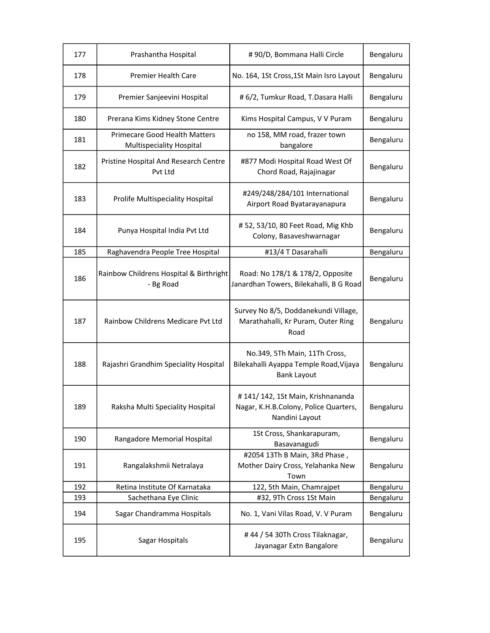| 177 | Prashantha Hospital                                              | #90/D, Bommana Halli Circle                                                                   | Bengaluru |
|-----|------------------------------------------------------------------|-----------------------------------------------------------------------------------------------|-----------|
| 178 | <b>Premier Health Care</b>                                       | No. 164, 1St Cross, 1St Main Isro Layout                                                      | Bengaluru |
| 179 | Premier Sanjeevini Hospital                                      | # 6/2, Tumkur Road, T.Dasara Halli                                                            | Bengaluru |
| 180 | Prerana Kims Kidney Stone Centre                                 | Kims Hospital Campus, V V Puram                                                               | Bengaluru |
| 181 | <b>Primecare Good Health Matters</b><br>Multispeciality Hospital | no 158, MM road, frazer town<br>bangalore                                                     | Bengaluru |
| 182 | Pristine Hospital And Research Centre<br>Pvt Ltd                 | #877 Modi Hospital Road West Of<br>Chord Road, Rajajinagar                                    | Bengaluru |
| 183 | Prolife Multispeciality Hospital                                 | #249/248/284/101 International<br>Airport Road Byatarayanapura                                | Bengaluru |
| 184 | Punya Hospital India Pvt Ltd                                     | #52, 53/10, 80 Feet Road, Mig Khb<br>Colony, Basaveshwarnagar                                 | Bengaluru |
| 185 | Raghavendra People Tree Hospital                                 | #13/4 T Dasarahalli                                                                           | Bengaluru |
| 186 | Rainbow Childrens Hospital & Birthright<br>- Bg Road             | Road: No 178/1 & 178/2, Opposite<br>Janardhan Towers, Bilekahalli, B G Road                   | Bengaluru |
| 187 | Rainbow Childrens Medicare Pvt Ltd                               | Survey No 8/5, Doddanekundi Village,<br>Marathahalli, Kr Puram, Outer Ring<br>Road            | Bengaluru |
| 188 | Rajashri Grandhim Speciality Hospital                            | No.349, 5Th Main, 11Th Cross,<br>Bilekahalli Ayappa Temple Road, Vijaya<br><b>Bank Layout</b> | Bengaluru |
| 189 | Raksha Multi Speciality Hospital                                 | #141/142, 1St Main, Krishnananda<br>Nagar, K.H.B.Colony, Police Quarters,<br>Nandini Layout   | Bengaluru |
| 190 | Rangadore Memorial Hospital                                      | 1St Cross, Shankarapuram,<br>Basavanagudi                                                     | Bengaluru |
| 191 | Rangalakshmii Netralaya                                          | #2054 13Th B Main, 3Rd Phase,<br>Mother Dairy Cross, Yelahanka New<br>Town                    | Bengaluru |
| 192 | Retina Institute Of Karnataka                                    | 122, 5th Main, Chamrajpet                                                                     | Bengaluru |
| 193 | Sachethana Eye Clinic                                            | #32, 9Th Cross 1St Main                                                                       | Bengaluru |
| 194 | Sagar Chandramma Hospitals                                       | No. 1, Vani Vilas Road, V. V Puram                                                            | Bengaluru |
| 195 | Sagar Hospitals                                                  | #44 / 54 30Th Cross Tilaknagar,<br>Jayanagar Extn Bangalore                                   | Bengaluru |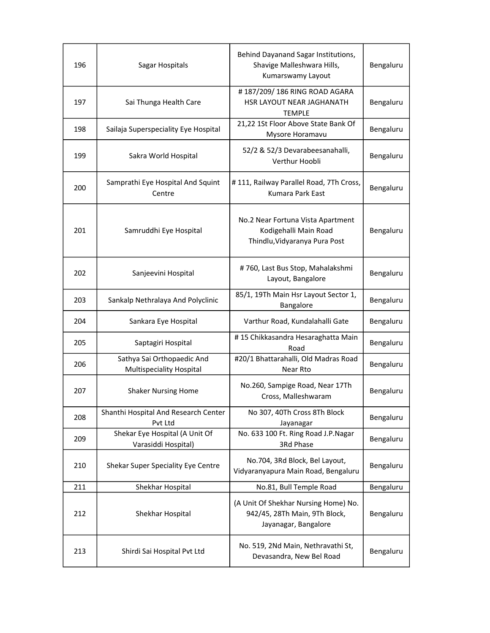| 196 | Sagar Hospitals                      | Behind Dayanand Sagar Institutions,<br>Shavige Malleshwara Hills, | Bengaluru |
|-----|--------------------------------------|-------------------------------------------------------------------|-----------|
|     |                                      | Kumarswamy Layout                                                 |           |
|     |                                      | #187/209/186 RING ROAD AGARA                                      |           |
| 197 | Sai Thunga Health Care               | HSR LAYOUT NEAR JAGHANATH                                         | Bengaluru |
|     |                                      | <b>TEMPLE</b>                                                     |           |
| 198 | Sailaja Superspeciality Eye Hospital | 21,22 1St Floor Above State Bank Of<br>Mysore Horamavu            | Bengaluru |
|     |                                      | 52/2 & 52/3 Devarabeesanahalli,                                   |           |
| 199 | Sakra World Hospital                 | Verthur Hoobli                                                    | Bengaluru |
|     | Samprathi Eye Hospital And Squint    | #111, Railway Parallel Road, 7Th Cross,                           |           |
| 200 | Centre                               | Kumara Park East                                                  | Bengaluru |
|     |                                      |                                                                   |           |
|     |                                      | No.2 Near Fortuna Vista Apartment                                 |           |
| 201 | Samruddhi Eye Hospital               | Kodigehalli Main Road                                             | Bengaluru |
|     |                                      | Thindlu, Vidyaranya Pura Post                                     |           |
|     |                                      |                                                                   |           |
| 202 | Sanjeevini Hospital                  | #760, Last Bus Stop, Mahalakshmi                                  | Bengaluru |
|     |                                      | Layout, Bangalore                                                 |           |
| 203 | Sankalp Nethralaya And Polyclinic    | 85/1, 19Th Main Hsr Layout Sector 1,<br>Bangalore                 | Bengaluru |
| 204 | Sankara Eye Hospital                 | Varthur Road, Kundalahalli Gate                                   | Bengaluru |
| 205 | Saptagiri Hospital                   | #15 Chikkasandra Hesaraghatta Main                                | Bengaluru |
|     | Sathya Sai Orthopaedic And           | Road<br>#20/1 Bhattarahalli, Old Madras Road                      |           |
| 206 | <b>Multispeciality Hospital</b>      | Near Rto                                                          | Bengaluru |
|     |                                      | No.260, Sampige Road, Near 17Th                                   |           |
| 207 | <b>Shaker Nursing Home</b>           | Cross, Malleshwaram                                               | Bengaluru |
|     | Shanthi Hospital And Research Center | No 307, 40Th Cross 8Th Block                                      |           |
| 208 | Pvt Ltd                              | Jayanagar                                                         | Bengaluru |
| 209 | Shekar Eye Hospital (A Unit Of       | No. 633 100 Ft. Ring Road J.P.Nagar                               | Bengaluru |
|     | Varasiddi Hospital)                  | 3Rd Phase                                                         |           |
| 210 | Shekar Super Speciality Eye Centre   | No.704, 3Rd Block, Bel Layout,                                    | Bengaluru |
|     |                                      | Vidyaranyapura Main Road, Bengaluru                               |           |
| 211 | Shekhar Hospital                     | No.81, Bull Temple Road                                           | Bengaluru |
|     |                                      | (A Unit Of Shekhar Nursing Home) No.                              |           |
| 212 | Shekhar Hospital                     | 942/45, 28Th Main, 9Th Block,                                     | Bengaluru |
|     |                                      | Jayanagar, Bangalore                                              |           |
|     |                                      | No. 519, 2Nd Main, Nethravathi St,                                |           |
| 213 | Shirdi Sai Hospital Pvt Ltd          | Devasandra, New Bel Road                                          | Bengaluru |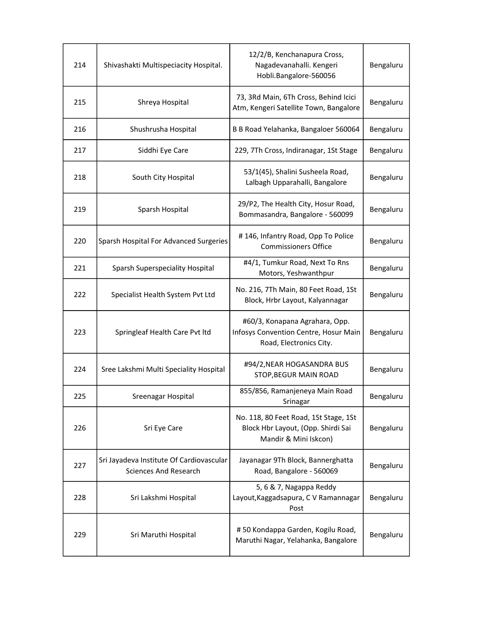| 214 | Shivashakti Multispeciacity Hospital.                                    | 12/2/B, Kenchanapura Cross,<br>Nagadevanahalli. Kengeri<br>Hobli.Bangalore-560056                    | Bengaluru |
|-----|--------------------------------------------------------------------------|------------------------------------------------------------------------------------------------------|-----------|
| 215 | Shreya Hospital                                                          | 73, 3Rd Main, 6Th Cross, Behind Icici<br>Atm, Kengeri Satellite Town, Bangalore                      | Bengaluru |
| 216 | Shushrusha Hospital                                                      | B B Road Yelahanka, Bangaloer 560064                                                                 | Bengaluru |
| 217 | Siddhi Eye Care                                                          | 229, 7Th Cross, Indiranagar, 1St Stage                                                               | Bengaluru |
| 218 | South City Hospital                                                      | 53/1(45), Shalini Susheela Road,<br>Lalbagh Upparahalli, Bangalore                                   | Bengaluru |
| 219 | Sparsh Hospital                                                          | 29/P2, The Health City, Hosur Road,<br>Bommasandra, Bangalore - 560099                               | Bengaluru |
| 220 | Sparsh Hospital For Advanced Surgeries                                   | #146, Infantry Road, Opp To Police<br><b>Commissioners Office</b>                                    | Bengaluru |
| 221 | Sparsh Superspeciality Hospital                                          | #4/1, Tumkur Road, Next To Rns<br>Motors, Yeshwanthpur                                               | Bengaluru |
| 222 | Specialist Health System Pvt Ltd                                         | No. 216, 7Th Main, 80 Feet Road, 1St<br>Block, Hrbr Layout, Kalyannagar                              | Bengaluru |
| 223 | Springleaf Health Care Pvt ltd                                           | #60/3, Konapana Agrahara, Opp.<br>Infosys Convention Centre, Hosur Main<br>Road, Electronics City.   | Bengaluru |
| 224 | Sree Lakshmi Multi Speciality Hospital                                   | #94/2, NEAR HOGASANDRA BUS<br>STOP, BEGUR MAIN ROAD                                                  | Bengaluru |
| 225 | Sreenagar Hospital                                                       | 855/856, Ramanjeneya Main Road<br>Srinagar                                                           | Bengaluru |
| 226 | Sri Eye Care                                                             | No. 118, 80 Feet Road, 1St Stage, 1St<br>Block Hbr Layout, (Opp. Shirdi Sai<br>Mandir & Mini Iskcon) | Bengaluru |
| 227 | Sri Jayadeva Institute Of Cardiovascular<br><b>Sciences And Research</b> | Jayanagar 9Th Block, Bannerghatta<br>Road, Bangalore - 560069                                        | Bengaluru |
| 228 | Sri Lakshmi Hospital                                                     | 5, 6 & 7, Nagappa Reddy<br>Layout, Kaggadsapura, C V Ramannagar<br>Post                              | Bengaluru |
| 229 | Sri Maruthi Hospital                                                     | #50 Kondappa Garden, Kogilu Road,<br>Maruthi Nagar, Yelahanka, Bangalore                             | Bengaluru |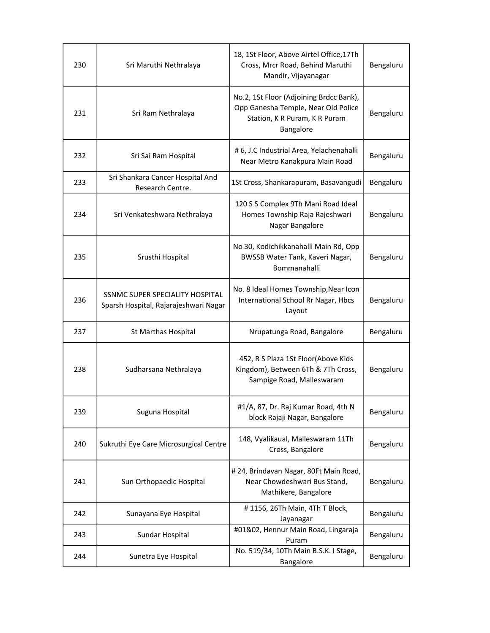| 230 | Sri Maruthi Nethralaya                                                   | 18, 1St Floor, Above Airtel Office, 17Th<br>Cross, Mrcr Road, Behind Maruthi<br>Mandir, Vijayanagar                          | Bengaluru |
|-----|--------------------------------------------------------------------------|------------------------------------------------------------------------------------------------------------------------------|-----------|
| 231 | Sri Ram Nethralaya                                                       | No.2, 1St Floor (Adjoining Brdcc Bank),<br>Opp Ganesha Temple, Near Old Police<br>Station, K R Puram, K R Puram<br>Bangalore | Bengaluru |
| 232 | Sri Sai Ram Hospital                                                     | # 6, J.C Industrial Area, Yelachenahalli<br>Near Metro Kanakpura Main Road                                                   | Bengaluru |
| 233 | Sri Shankara Cancer Hospital And<br>Research Centre.                     | 1St Cross, Shankarapuram, Basavangudi                                                                                        | Bengaluru |
| 234 | Sri Venkateshwara Nethralaya                                             | 120 S S Complex 9Th Mani Road Ideal<br>Homes Township Raja Rajeshwari<br>Nagar Bangalore                                     | Bengaluru |
| 235 | Srusthi Hospital                                                         | No 30, Kodichikkanahalli Main Rd, Opp<br>BWSSB Water Tank, Kaveri Nagar,<br>Bommanahalli                                     | Bengaluru |
| 236 | SSNMC SUPER SPECIALITY HOSPITAL<br>Sparsh Hospital, Rajarajeshwari Nagar | No. 8 Ideal Homes Township, Near Icon<br>International School Rr Nagar, Hbcs<br>Layout                                       | Bengaluru |
| 237 | St Marthas Hospital                                                      | Nrupatunga Road, Bangalore                                                                                                   | Bengaluru |
| 238 | Sudharsana Nethralaya                                                    | 452, R S Plaza 1St Floor(Above Kids<br>Kingdom), Between 6Th & 7Th Cross,<br>Sampige Road, Malleswaram                       | Bengaluru |
| 239 | Suguna Hospital                                                          | #1/A, 87, Dr. Raj Kumar Road, 4th N<br>block Rajaji Nagar, Bangalore                                                         | Bengaluru |
| 240 | Sukruthi Eye Care Microsurgical Centre                                   | 148, Vyalikaual, Malleswaram 11Th<br>Cross, Bangalore                                                                        | Bengaluru |
| 241 | Sun Orthopaedic Hospital                                                 | #24, Brindavan Nagar, 80Ft Main Road,<br>Near Chowdeshwari Bus Stand,<br>Mathikere, Bangalore                                | Bengaluru |
| 242 | Sunayana Eye Hospital                                                    | #1156, 26Th Main, 4Th T Block,<br>Jayanagar                                                                                  | Bengaluru |
| 243 | Sundar Hospital                                                          | #01&02, Hennur Main Road, Lingaraja<br>Puram                                                                                 | Bengaluru |
| 244 | Sunetra Eye Hospital                                                     | No. 519/34, 10Th Main B.S.K. I Stage,<br>Bangalore                                                                           | Bengaluru |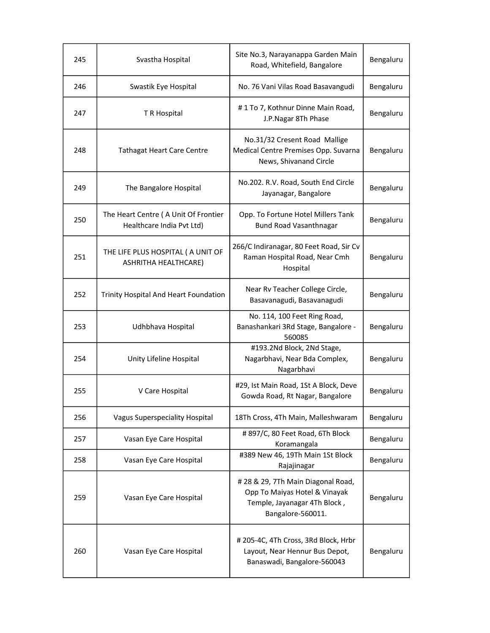| 245 | Svastha Hospital                                                  | Site No.3, Narayanappa Garden Main<br>Road, Whitefield, Bangalore                                                        | Bengaluru |
|-----|-------------------------------------------------------------------|--------------------------------------------------------------------------------------------------------------------------|-----------|
| 246 | Swastik Eye Hospital                                              | No. 76 Vani Vilas Road Basavangudi                                                                                       | Bengaluru |
| 247 | T R Hospital                                                      | #1 To 7, Kothnur Dinne Main Road,<br>J.P.Nagar 8Th Phase                                                                 | Bengaluru |
| 248 | <b>Tathagat Heart Care Centre</b>                                 | No.31/32 Cresent Road Mallige<br>Medical Centre Premises Opp. Suvarna<br>News, Shivanand Circle                          | Bengaluru |
| 249 | The Bangalore Hospital                                            | No.202. R.V. Road, South End Circle<br>Jayanagar, Bangalore                                                              | Bengaluru |
| 250 | The Heart Centre (A Unit Of Frontier<br>Healthcare India Pvt Ltd) | Opp. To Fortune Hotel Millers Tank<br><b>Bund Road Vasanthnagar</b>                                                      | Bengaluru |
| 251 | THE LIFE PLUS HOSPITAL ( A UNIT OF<br>ASHRITHA HEALTHCARE)        | 266/C Indiranagar, 80 Feet Road, Sir Cv<br>Raman Hospital Road, Near Cmh<br>Hospital                                     | Bengaluru |
| 252 | Trinity Hospital And Heart Foundation                             | Near Rv Teacher College Circle,<br>Basavanagudi, Basavanagudi                                                            | Bengaluru |
| 253 | Udhbhava Hospital                                                 | No. 114, 100 Feet Ring Road,<br>Banashankari 3Rd Stage, Bangalore -<br>560085                                            | Bengaluru |
| 254 | Unity Lifeline Hospital                                           | #193.2Nd Block, 2Nd Stage,<br>Nagarbhavi, Near Bda Complex,<br>Nagarbhavi                                                | Bengaluru |
| 255 | V Care Hospital                                                   | #29, Ist Main Road, 1St A Block, Deve<br>Gowda Road, Rt Nagar, Bangalore                                                 | Bengaluru |
| 256 | <b>Vagus Superspeciality Hospital</b>                             | 18Th Cross, 4Th Main, Malleshwaram                                                                                       | Bengaluru |
| 257 | Vasan Eye Care Hospital                                           | # 897/C, 80 Feet Road, 6Th Block<br>Koramangala                                                                          | Bengaluru |
| 258 | Vasan Eye Care Hospital                                           | #389 New 46, 19Th Main 1St Block<br>Rajajinagar                                                                          | Bengaluru |
| 259 | Vasan Eye Care Hospital                                           | # 28 & 29, 7Th Main Diagonal Road,<br>Opp To Maiyas Hotel & Vinayak<br>Temple, Jayanagar 4Th Block,<br>Bangalore-560011. | Bengaluru |
| 260 | Vasan Eye Care Hospital                                           | # 205-4C, 4Th Cross, 3Rd Block, Hrbr<br>Layout, Near Hennur Bus Depot,<br>Banaswadi, Bangalore-560043                    | Bengaluru |